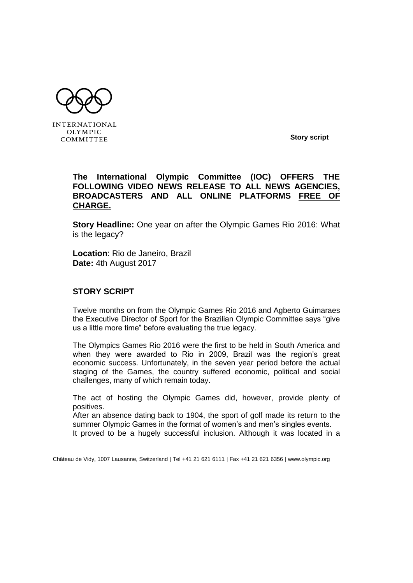

**INTERNATIONAL** OLYMPIC COMMITTEE

**Story script**

## **The International Olympic Committee (IOC) OFFERS THE FOLLOWING VIDEO NEWS RELEASE TO ALL NEWS AGENCIES, BROADCASTERS AND ALL ONLINE PLATFORMS FREE OF CHARGE.**

**Story Headline:** One year on after the Olympic Games Rio 2016: What is the legacy?

**Location**: Rio de Janeiro, Brazil **Date:** 4th August 2017

## **STORY SCRIPT**

Twelve months on from the Olympic Games Rio 2016 and Agberto Guimaraes the Executive Director of Sport for the Brazilian Olympic Committee says "give us a little more time" before evaluating the true legacy.

The Olympics Games Rio 2016 were the first to be held in South America and when they were awarded to Rio in 2009, Brazil was the region's great economic success. Unfortunately, in the seven year period before the actual staging of the Games, the country suffered economic, political and social challenges, many of which remain today.

The act of hosting the Olympic Games did, however, provide plenty of positives.

After an absence dating back to 1904, the sport of golf made its return to the summer Olympic Games in the format of women's and men's singles events. It proved to be a hugely successful inclusion. Although it was located in a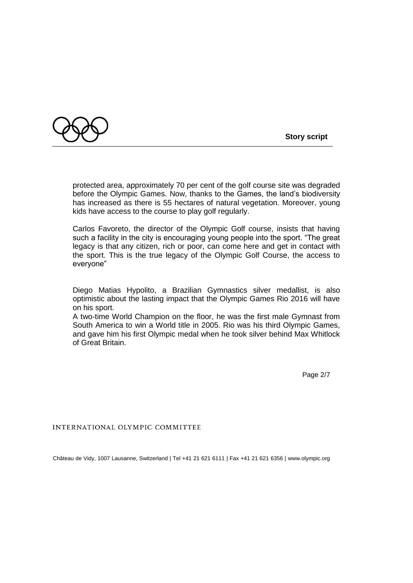

protected area, approximately 70 per cent of the golf course site was degraded before the Olympic Games. Now, thanks to the Games, the land's biodiversity has increased as there is 55 hectares of natural vegetation. Moreover, young kids have access to the course to play golf regularly.

Carlos Favoreto, the director of the Olympic Golf course, insists that having such a facility in the city is encouraging young people into the sport. "The great legacy is that any citizen, rich or poor, can come here and get in contact with the sport. This is the true legacy of the Olympic Golf Course, the access to everyone"

Diego Matias Hypolito, a Brazilian Gymnastics silver medallist, is also optimistic about the lasting impact that the Olympic Games Rio 2016 will have on his sport.

A two-time World Champion on the floor, he was the first male Gymnast from South America to win a World title in 2005. Rio was his third Olympic Games, and gave him his first Olympic medal when he took silver behind Max Whitlock of Great Britain.

Page 2/7

INTERNATIONAL OLYMPIC COMMITTEE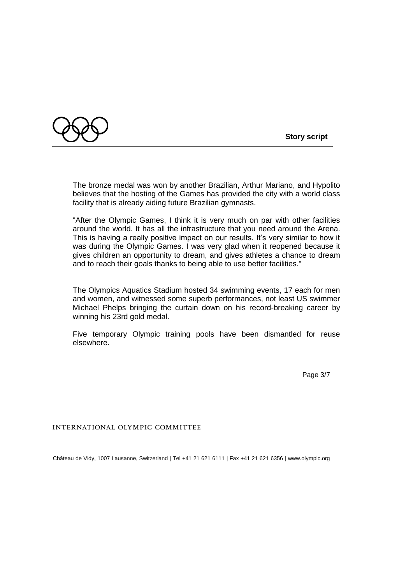

The bronze medal was won by another Brazilian, Arthur Mariano, and Hypolito believes that the hosting of the Games has provided the city with a world class facility that is already aiding future Brazilian gymnasts.

"After the Olympic Games, I think it is very much on par with other facilities around the world. It has all the infrastructure that you need around the Arena. This is having a really positive impact on our results. It's very similar to how it was during the Olympic Games. I was very glad when it reopened because it gives children an opportunity to dream, and gives athletes a chance to dream and to reach their goals thanks to being able to use better facilities."

The Olympics Aquatics Stadium hosted 34 swimming events, 17 each for men and women, and witnessed some superb performances, not least US swimmer Michael Phelps bringing the curtain down on his record-breaking career by winning his 23rd gold medal.

Five temporary Olympic training pools have been dismantled for reuse elsewhere.

Page 3/7

INTERNATIONAL OLYMPIC COMMITTEE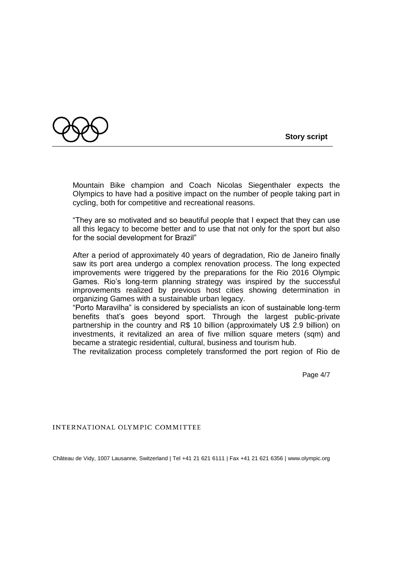



Mountain Bike champion and Coach Nicolas Siegenthaler expects the Olympics to have had a positive impact on the number of people taking part in cycling, both for competitive and recreational reasons.

"They are so motivated and so beautiful people that I expect that they can use all this legacy to become better and to use that not only for the sport but also for the social development for Brazil"

After a period of approximately 40 years of degradation, Rio de Janeiro finally saw its port area undergo a complex renovation process. The long expected improvements were triggered by the preparations for the Rio 2016 Olympic Games. Rio's long-term planning strategy was inspired by the successful improvements realized by previous host cities showing determination in organizing Games with a sustainable urban legacy.

"Porto Maravilha" is considered by specialists an icon of sustainable long-term benefits that's goes beyond sport. Through the largest public-private partnership in the country and R\$ 10 billion (approximately U\$ 2.9 billion) on investments, it revitalized an area of five million square meters (sqm) and became a strategic residential, cultural, business and tourism hub.

The revitalization process completely transformed the port region of Rio de

Page 4/7

INTERNATIONAL OLYMPIC COMMITTEE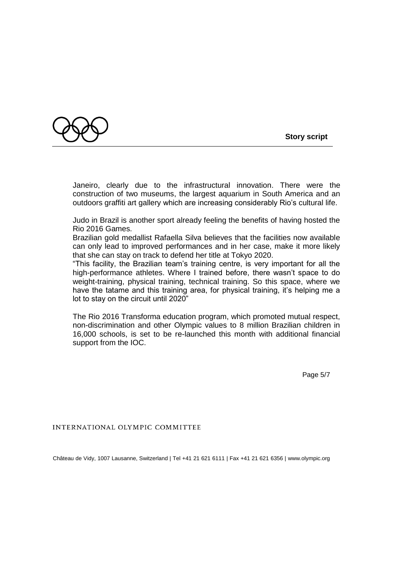

Janeiro, clearly due to the infrastructural innovation. There were the construction of two museums, the largest aquarium in South America and an outdoors graffiti art gallery which are increasing considerably Rio's cultural life.

Judo in Brazil is another sport already feeling the benefits of having hosted the Rio 2016 Games.

Brazilian gold medallist Rafaella Silva believes that the facilities now available can only lead to improved performances and in her case, make it more likely that she can stay on track to defend her title at Tokyo 2020.

"This facility, the Brazilian team's training centre, is very important for all the high-performance athletes. Where I trained before, there wasn't space to do weight-training, physical training, technical training. So this space, where we have the tatame and this training area, for physical training, it's helping me a lot to stay on the circuit until 2020"

The Rio 2016 Transforma education program, which promoted mutual respect, non-discrimination and other Olympic values to 8 million Brazilian children in 16,000 schools, is set to be re-launched this month with additional financial support from the IOC.

Page 5/7

INTERNATIONAL OLYMPIC COMMITTEE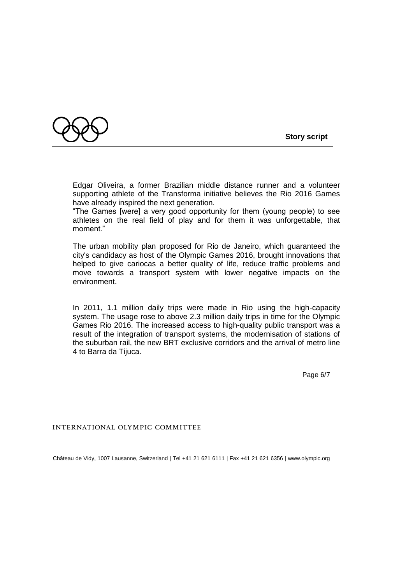

Edgar Oliveira, a former Brazilian middle distance runner and a volunteer supporting athlete of the Transforma initiative believes the Rio 2016 Games have already inspired the next generation.

"The Games [were] a very good opportunity for them (young people) to see athletes on the real field of play and for them it was unforgettable, that moment."

The urban mobility plan proposed for Rio de Janeiro, which guaranteed the city's candidacy as host of the Olympic Games 2016, brought innovations that helped to give cariocas a better quality of life, reduce traffic problems and move towards a transport system with lower negative impacts on the environment.

In 2011, 1.1 million daily trips were made in Rio using the high-capacity system. The usage rose to above 2.3 million daily trips in time for the Olympic Games Rio 2016. The increased access to high-quality public transport was a result of the integration of transport systems, the modernisation of stations of the suburban rail, the new BRT exclusive corridors and the arrival of metro line 4 to Barra da Tijuca.

Page 6/7

INTERNATIONAL OLYMPIC COMMITTEE